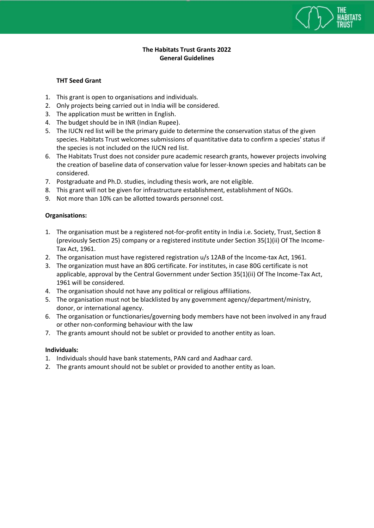

## **The Habitats Trust Grants 2022 General Guidelines**

## **THT Seed Grant**

- 1. This grant is open to organisations and individuals.
- 2. Only projects being carried out in India will be considered.
- 3. The application must be written in English.
- 4. The budget should be in INR (Indian Rupee).
- 5. The IUCN red list will be the primary guide to determine the conservation status of the given species. Habitats Trust welcomes submissions of quantitative data to confirm a species' status if the species is not included on the IUCN red list.
- 6. The Habitats Trust does not consider pure academic research grants, however projects involving the creation of baseline data of conservation value for lesser-known species and habitats can be considered.
- 7. Postgraduate and Ph.D. studies, including thesis work, are not eligible.
- 8. This grant will not be given for infrastructure establishment, establishment of NGOs.
- 9. Not more than 10% can be allotted towards personnel cost.

# **Organisations:**

- 1. The organisation must be a registered not-for-profit entity in India i.e. Society, Trust, Section 8 (previously Section 25) company or a registered institute under Section 35(1)(ii) Of The Income-Tax Act, 1961.
- 2. The organisation must have registered registration u/s 12AB of the Income-tax Act, 1961.
- 3. The organization must have an 80G certificate. For institutes, in case 80G certificate is not applicable, approval by the Central Government under Section 35(1)(ii) Of The Income-Tax Act, 1961 will be considered.
- 4. The organisation should not have any political or religious affiliations.
- 5. The organisation must not be blacklisted by any government agency/department/ministry, donor, or international agency.
- 6. The organisation or functionaries/governing body members have not been involved in any fraud or other non-conforming behaviour with the law
- 7. The grants amount should not be sublet or provided to another entity as loan.

### **Individuals:**

- 1. Individuals should have bank statements, PAN card and Aadhaar card.
- 2. The grants amount should not be sublet or provided to another entity as loan.